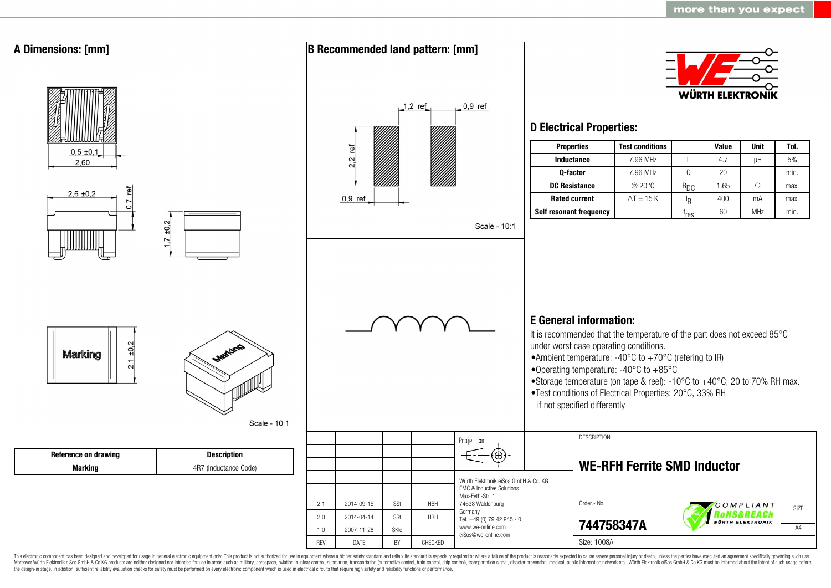

This electronic component has been designed and developed for usage in general electronic equipment only. This product is not authorized for use in equipment where a higher safety standard and reliability standard is espec Moreover Würth Elektronik eiSos GmbH & Co KG products are neither designed nor intended for use in areas such as military, aerospace, aviation, nuclear control, submarine, transportation (automotive control, ship control), the design-in stage. In addition, sufficient reliability evaluation checks for safety must be performed on every electronic component which is used in electrical circuits that require high safety and reliability functions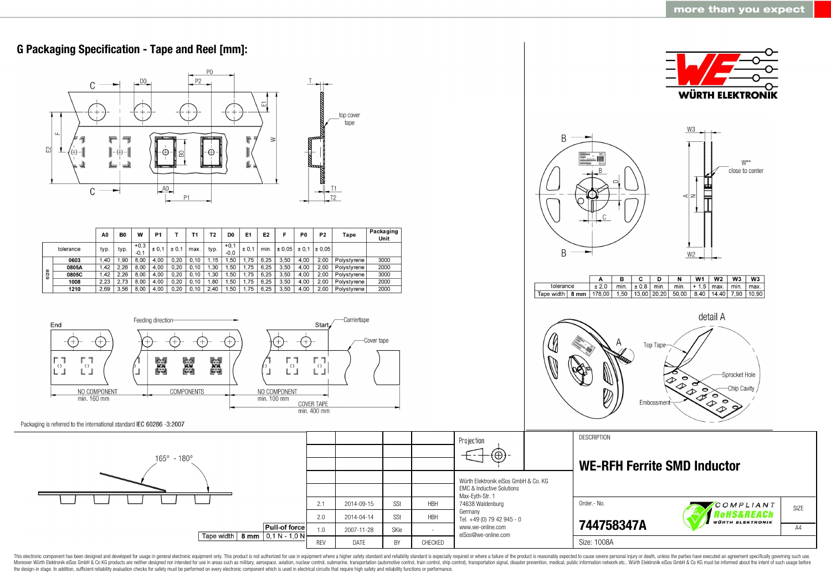

This electronic component has been designed and developed for usage in general electronic equipment only. This product is not authorized for use in equipment where a higher safety standard and reliability standard as espec Moreover Würth Elektronik eiSos GmbH & Co KG products are neither designed nor intended for use in areas such as military, aerospace, aviation, nuclear control, submarine, transportation (automotive control, ship control), the design-in stage. In addition, sufficient reliability evaluation checks for safety must be performed on every electronic component which is used in electrical circuits that require high safety and reliability functions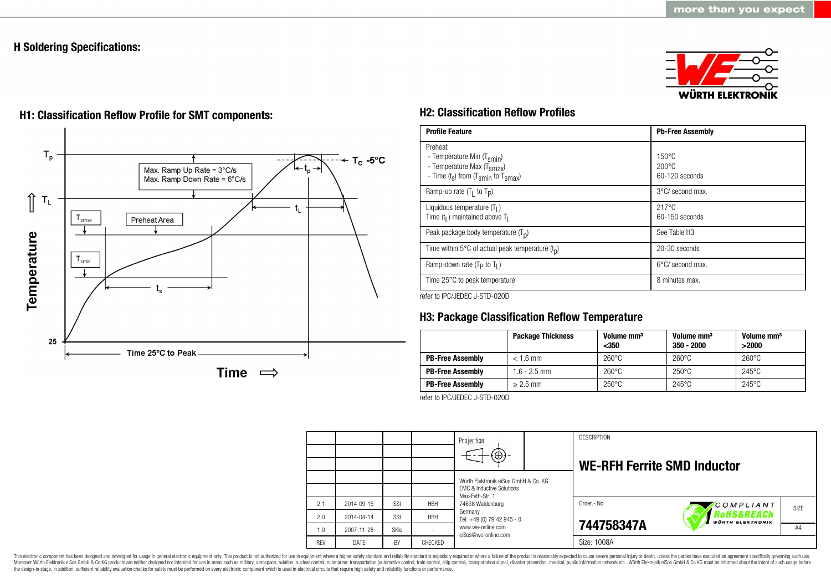# **H Soldering Specifications:**





# **H1: Classification Reflow Profile for SMT components: H2: Classification Reflow Profiles**

| <b>Profile Feature</b>                                                                                                                        | <b>Pb-Free Assembly</b>                             |
|-----------------------------------------------------------------------------------------------------------------------------------------------|-----------------------------------------------------|
| Preheat<br>- Temperature Min (T <sub>smin</sub> )<br>- Temperature Max (T <sub>Smax</sub> )<br>- Time $(t_s)$ from $(T_{smin}$ to $T_{smax})$ | $150^{\circ}$ C<br>$200\degree C$<br>60-120 seconds |
| Ramp-up rate $(T_1$ to $T_p$ )                                                                                                                | 3°C/ second max.                                    |
| Liquidous temperature $(T1)$<br>Time $(tl)$ maintained above T <sub>1</sub>                                                                   | $217^{\circ}$ C<br>60-150 seconds                   |
| Peak package body temperature $(Tp)$                                                                                                          | See Table H <sub>3</sub>                            |
| Time within 5°C of actual peak temperature $(t_n)$                                                                                            | 20-30 seconds                                       |
| Ramp-down rate ( $T_P$ to $T_I$ )                                                                                                             | $6^{\circ}$ C/ second max.                          |
| Time 25°C to peak temperature                                                                                                                 | 8 minutes max.                                      |

refer to IPC/JEDEC J-STD-020D

# **H3: Package Classification Reflow Temperature**

|                         | <b>Package Thickness</b> | Volume mm <sup>3</sup><br>$350$ | Volume mm <sup>3</sup><br>$350 - 2000$ | Volume mm <sup>3</sup><br>>2000 |
|-------------------------|--------------------------|---------------------------------|----------------------------------------|---------------------------------|
| <b>PB-Free Assembly</b> | $< 1.6$ mm               | $260^{\circ}$ C                 | $260^{\circ}$ C                        | $260^{\circ}$ C                 |
| <b>PB-Free Assembly</b> | $1.6 - 2.5$ mm           | $260^{\circ}$ C                 | $250^{\circ}$ C                        | $245^{\circ}$ C                 |
| <b>PB-Free Assembly</b> | $> 2.5$ mm               | $250^{\circ}$ C                 | $245^{\circ}$ C                        | $245^{\circ}$ C                 |

refer to IPC/JEDEC J-STD-020D

|            |            |      |            | Projection<br>$(\oplus)$                                                                                                                                                                      |  | <b>DESCRIPTION</b><br><b>WE-RFH Ferrite SMD Inductor</b> |                                       |      |
|------------|------------|------|------------|-----------------------------------------------------------------------------------------------------------------------------------------------------------------------------------------------|--|----------------------------------------------------------|---------------------------------------|------|
|            |            |      |            | Würth Elektronik eiSos GmbH & Co. KG<br>FMC & Inductive Solutions<br>Max-Eyth-Str. 1<br>74638 Waldenburg<br>Germany<br>Tel. +49 (0) 79 42 945 - 0<br>www.we-online.com<br>eiSos@we-online.com |  |                                                          |                                       |      |
| 2.1        | 2014-09-15 | SSt  | <b>HBH</b> |                                                                                                                                                                                               |  | Order - No.                                              | COMPLIANT                             | SIZE |
| 2.0        | 2014-04-14 | SSt  | <b>HBH</b> |                                                                                                                                                                                               |  |                                                          | RoHS&REACh<br><b>WÜRTH ELEKTRONIK</b> |      |
| 1.0        | 2007-11-28 | SKIe |            |                                                                                                                                                                                               |  | 744758347A                                               |                                       | A4   |
| <b>RFV</b> | DATE       | BY   | CHECKED    |                                                                                                                                                                                               |  | Size: 1008A                                              |                                       |      |

This electronic component has been designed and developed for usage in general electronic equipment only. This product is not authorized for use in equipment where a higher safety standard and reliability standard is espec Moreover Würth Elektronik eiSos GmbH & Co KG products are neither designed nor intended for use in areas such as military, aerospace, aviation, nuclear control, submarine, transportation (automotive control), stain control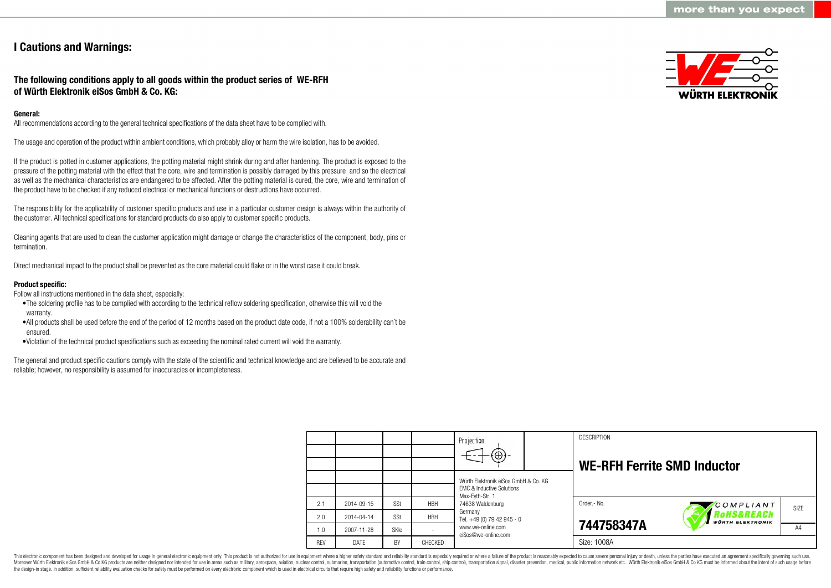# **I Cautions and Warnings:**

## **The following conditions apply to all goods within the product series of WE-RFH of Würth Elektronik eiSos GmbH & Co. KG:**

## **General:**

All recommendations according to the general technical specifications of the data sheet have to be complied with.

The usage and operation of the product within ambient conditions, which probably alloy or harm the wire isolation, has to be avoided.

If the product is potted in customer applications, the potting material might shrink during and after hardening. The product is exposed to the pressure of the potting material with the effect that the core, wire and termination is possibly damaged by this pressure and so the electrical as well as the mechanical characteristics are endangered to be affected. After the potting material is cured, the core, wire and termination of the product have to be checked if any reduced electrical or mechanical functions or destructions have occurred.

The responsibility for the applicability of customer specific products and use in a particular customer design is always within the authority of the customer. All technical specifications for standard products do also apply to customer specific products.

Cleaning agents that are used to clean the customer application might damage or change the characteristics of the component, body, pins or termination.

Direct mechanical impact to the product shall be prevented as the core material could flake or in the worst case it could break.

## **Product specific:**

Follow all instructions mentioned in the data sheet, especially:

- •The soldering profile has to be complied with according to the technical reflow soldering specification, otherwise this will void the warranty.
- •All products shall be used before the end of the period of 12 months based on the product date code, if not a 100% solderability can´t be ensured.
- •Violation of the technical product specifications such as exceeding the nominal rated current will void the warranty.

The general and product specific cautions comply with the state of the scientific and technical knowledge and are believed to be accurate and reliable; however, no responsibility is assumed for inaccuracies or incompleteness.



|            |            |             |            | Projection                                                                   |  | <b>DESCRIPTION</b>                 |                                                  |                   |
|------------|------------|-------------|------------|------------------------------------------------------------------------------|--|------------------------------------|--------------------------------------------------|-------------------|
|            |            |             |            | $\textcircled{\scriptsize\textcircled{\scriptsize\textcirc}}$                |  | <b>WE-RFH Ferrite SMD Inductor</b> |                                                  |                   |
|            |            |             |            | Würth Elektronik eiSos GmbH & Co. KG<br><b>EMC &amp; Inductive Solutions</b> |  |                                    |                                                  |                   |
| 2.1        | 2014-09-15 | SSt         | <b>HBH</b> | Max-Evth-Str. 1<br>74638 Waldenburg                                          |  | Order.- No.                        | COMPLIANT                                        | SI <sub>7</sub> F |
| 2.0        | 2014-04-14 | SSt         | <b>HBH</b> | Germany<br>Tel. +49 (0) 79 42 945 - 0                                        |  |                                    | <b>'oHS&amp;REACh</b><br><b>WÜRTH ELEKTRONIK</b> |                   |
| 1.0        | 2007-11-28 | <b>SKIe</b> |            | www.we-online.com<br>eiSos@we-online.com                                     |  | 744758347A                         |                                                  | A4                |
| <b>REV</b> | DATE       | BY          | CHECKED    |                                                                              |  | Size: 1008A                        |                                                  |                   |

This electronic component has been designed and developed for usage in general electronic equipment only. This product is not authorized for use in equipment where a higher safety standard and reliability standard is espec Moreover Würth Elektronik eiSos GmbH & Co KG products are neither designed nor intended for use in areas such as military, aerospace, aviation, nuclear control, submarine, transportation (automotive control), tain control) the design-in stage. In addition, sufficient reliability evaluation checks for safety must be performed on every electronic component which is used in electrical circuits that require high safety and reliability functions